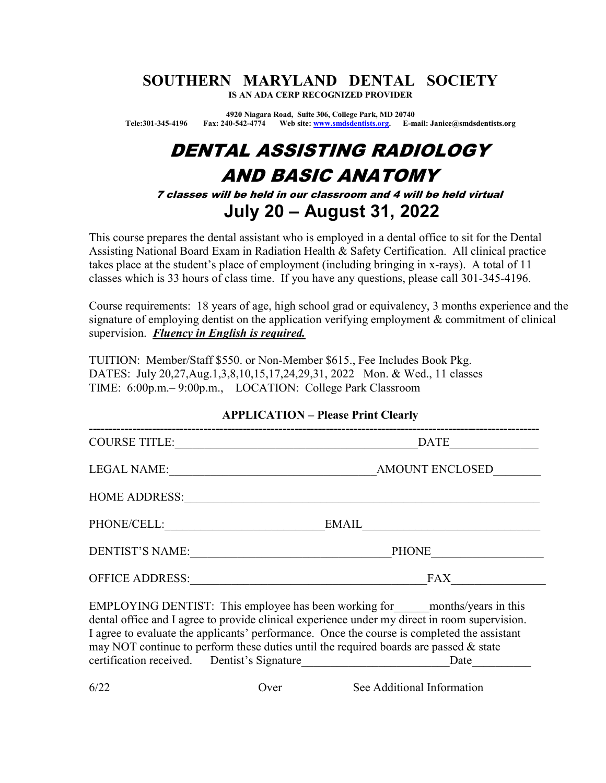#### SOUTHERN MARYLAND DENTAL SOCIETY IS AN ADA CERP RECOGNIZED PROVIDER

4920 Niagara Road, Suite 306, College Park, MD 20740 Tele:301-345-4196 Fax: 240-542-4774 Web site: www.smdsdentists.org. E-mail: Janice@smdsdentists.org

# DENTAL ASSISTING RADIOLOGY AND BASIC ANATOMY

7 classes will be held in our classroom and 4 will be held virtual July 20 – August 31, 2022

This course prepares the dental assistant who is employed in a dental office to sit for the Dental Assisting National Board Exam in Radiation Health & Safety Certification. All clinical practice takes place at the student's place of employment (including bringing in x-rays). A total of 11 classes which is 33 hours of class time. If you have any questions, please call 301-345-4196.

Course requirements: 18 years of age, high school grad or equivalency, 3 months experience and the signature of employing dentist on the application verifying employment & commitment of clinical supervision. Fluency in English is required.

TUITION: Member/Staff \$550. or Non-Member \$615., Fee Includes Book Pkg. DATES: July 20,27,Aug.1,3,8,10,15,17,24,29,31, 2022 Mon. & Wed., 11 classes TIME: 6:00p.m.– 9:00p.m., LOCATION: College Park Classroom

#### APPLICATION – Please Print Clearly

| <b>COURSE TITLE:</b>   | DATE                                                                                                                                                                                                                                                                                                    |
|------------------------|---------------------------------------------------------------------------------------------------------------------------------------------------------------------------------------------------------------------------------------------------------------------------------------------------------|
| LEGAL NAME:            | AMOUNT ENCLOSED                                                                                                                                                                                                                                                                                         |
| <b>HOME ADDRESS:</b>   |                                                                                                                                                                                                                                                                                                         |
| PHONE/CELL:            | EMAIL                                                                                                                                                                                                                                                                                                   |
| <b>DENTIST'S NAME:</b> | <b>PHONE</b>                                                                                                                                                                                                                                                                                            |
| <b>OFFICE ADDRESS:</b> | <b>FAX</b>                                                                                                                                                                                                                                                                                              |
|                        | EMPLOYING DENTIST: This employee has been working for _____ months/years in this<br>dental office and I agree to provide clinical experience under my direct in room supervision.<br>$\mathbf{r}$ and $\mathbf{r}$ and $\mathbf{r}$ and $\mathbf{r}$ and $\mathbf{r}$ and $\mathbf{r}$ and $\mathbf{r}$ |

I agree to evaluate the applicants' performance. Once the course is completed the assistant may NOT continue to perform these duties until the required boards are passed & state certification received. Dentist's Signature **Date** Date

6/22 Over See Additional Information